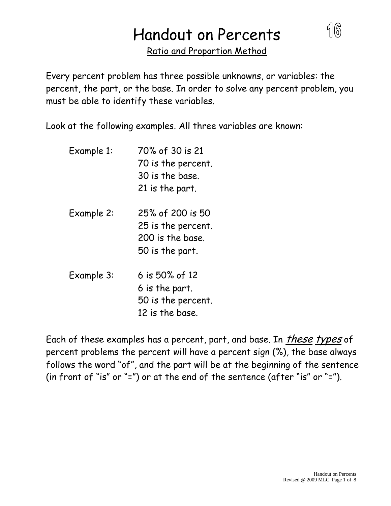# Handout on Percents

Ratio and Proportion Method

Every percent problem has three possible unknowns, or variables: the percent, the part, or the base. In order to solve any percent problem, you must be able to identify these variables.

Look at the following examples. All three variables are known:

- Example 1: 70% of 30 is 21 70 is the percent. 30 is the base. 21 is the part.
- Example 2: 25% of 200 is 50 25 is the percent. 200 is the base. 50 is the part.
- Example 3: 6 is 50% of 12 6 is the part. 50 is the percent. 12 is the base.

Each of these examples has a percent, part, and base. In *these types* of percent problems the percent will have a percent sign (%), the base always follows the word "of", and the part will be at the beginning of the sentence (in front of "is" or "=") or at the end of the sentence (after "is" or "=").

16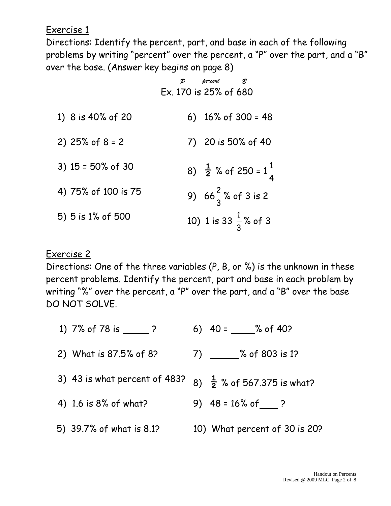Exercise 1

Directions: Identify the percent, part, and base in each of the following problems by writing "percent" over the percent, a "P" over the part, and a "B" over the base. (Answer key begins on page 8)

|                      | percent B<br>Ex. 170 is 25% of 680         |
|----------------------|--------------------------------------------|
| 1) 8 is 40% of 20    | 6) $16\%$ of 300 = 48                      |
| 2) $25%$ of $8 = 2$  | 7) 20 is 50% of 40                         |
| 3) $15 = 50\%$ of 30 | 8) $\frac{1}{2}$ % of 250 = $1\frac{1}{4}$ |
| 4) 75% of 100 is 75  | 9) $66\frac{2}{3}$ % of 3 is 2             |
| 5) 5 is 1% of 500    | 10) 1 is 33 $\frac{1}{3}$ % of 3           |

#### Exercise 2

Directions: One of the three variables (P, B, or %) is the unknown in these percent problems. Identify the percent, part and base in each problem by writing "%" over the percent, a "P" over the part, and a "B" over the base DO NOT SOLVE.

| 1) 7% of 78 is ?              | 6) $40 = % of 40?$                     |
|-------------------------------|----------------------------------------|
| 2) What is 87.5% of 8?        | $7)$ % of 803 is 1?                    |
| 3) 43 is what percent of 483? | 8) $\frac{1}{2}$ % of 567.375 is what? |
| 4) 1.6 is 8% of what?         | 9) $48 = 16\% \text{ of}$ ?            |
| 5) 39.7% of what is 8.1?      | 10) What percent of 30 is 20?          |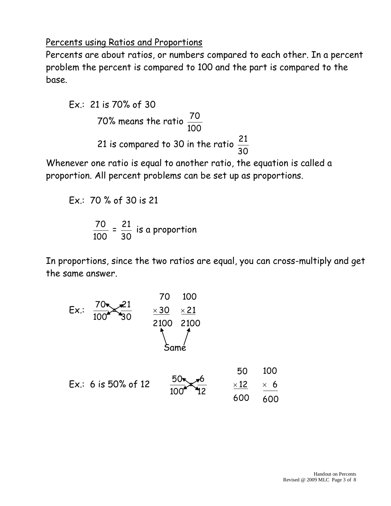#### Percents using Ratios and Proportions

Percents are about ratios, or numbers compared to each other. In a percent problem the percent is compared to 100 and the part is compared to the base.

Ex.: 21 is 70% of 30  
70% means the ratio 
$$
\frac{70}{100}
$$
  
21 is compared to 30 in the ratio  $\frac{21}{30}$ 

Whenever one ratio is equal to another ratio, the equation is called a proportion. All percent problems can be set up as proportions.

$$
Ex.: 70\% of 30 is 21
$$

$$
\frac{70}{100} = \frac{21}{30}
$$
 is a proportion

In proportions, since the two ratios are equal, you can cross-multiply and get the same answer.

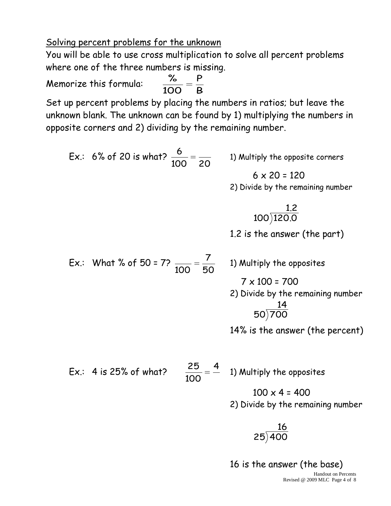Solving percent problems for the unknown

You will be able to use cross multiplication to solve all percent problems where one of the three numbers is missing. P %

Memorize this formula:

Set up percent problems by placing the numbers in ratios; but leave the unknown blank. The unknown can be found by 1) multiplying the numbers in opposite corners and 2) dividing by the remaining number.

B

100

Ex.: 6% of 20 is what? 
$$
\frac{6}{100} = \frac{1}{20}
$$
  
\n1) Multiply the opposite corners  
\n6 x 20 = 120  
\n2) Divide by the remaining number  
\n100)120.0  
\n1.2 is the answer (the part)  
\nEx.: What % of 50 = 7?  $\frac{7}{100} = \frac{7}{50}$   
\n1) Multiply the opposites  
\n7 x 100 = 700  
\n2) Divide by the remaining number  
\n50)700  
\n14% is the answer (the percent)  
\nEx.: 4 is 25% of what?  $\frac{25}{100} = \frac{4}{50}$   
\n1) Multiply the opposites  
\n100 x 4 = 400  
\n2) Divide by the remaining number  
\n16

16 is the answer (the base)

 $25)400$ 

Handout on Percents Revised @ 2009 MLC Page 4 of 8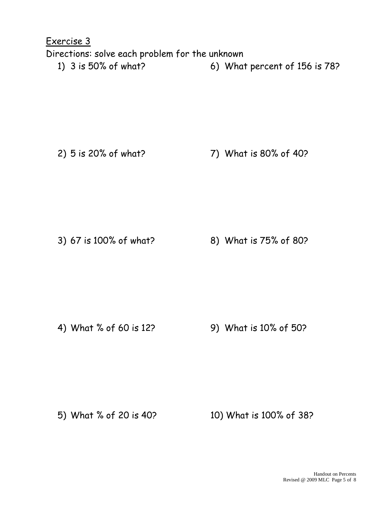Exercise 3 Directions: solve each problem for the unknown 1) 3 is 50% of what? 6) What percent of 156 is 78?

2) 5 is 20% of what? 7) What is 80% of 40?

3) 67 is 100% of what? 8) What is 75% of 80?

4) What % of 60 is 12? 9) What is 10% of 50?

5) What % of 20 is 40? 10) What is 100% of 38?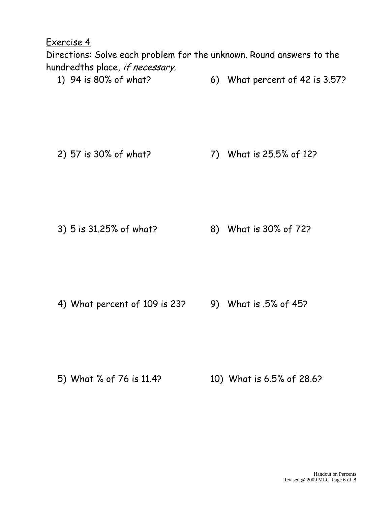Exercise 4

Directions: Solve each problem for the unknown. Round answers to the hundredths place, if necessary.

1) 94 is 80% of what? 6) What percent of 42 is 3.57?

2) 57 is 30% of what? 7) What is 25.5% of 12?

3) 5 is 31.25% of what? 8) What is 30% of 72?

4) What percent of 109 is 23? 9) What is .5% of 45?

5) What % of 76 is 11.4? 10) What is 6.5% of 28.6?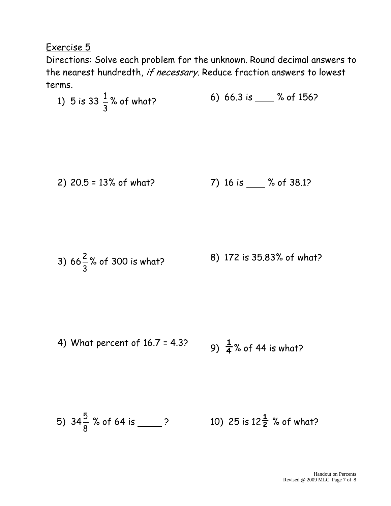### Exercise 5

Directions: Solve each problem for the unknown. Round decimal answers to the nearest hundredth, if necessary. Reduce fraction answers to lowest terms.

1) 5 is 33 
$$
\frac{1}{3}
$$
% of what  
\n2) 20.5 = 13% of what?  
\n3) 66 $\frac{2}{3}$ % of 300 is what?  
\n4) What percent of 16.7 = 4.3?  
\n5) 34 $\frac{5}{8}$ % of 64 is  
\n6) 66.3 is  
\n7) 16 is  
\n8) 172 is 35.83% of what?  
\n9)  $\frac{1}{4}$ % of 44 is what?  
\n10) 25 is 12 $\frac{1}{2}$ % of what?